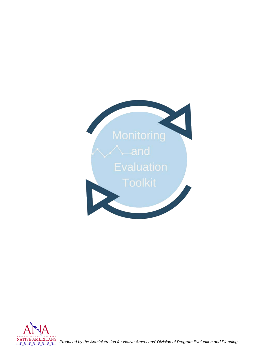



*Produced by the Administration for Native Americans' Division of Program Evaluation and Planning*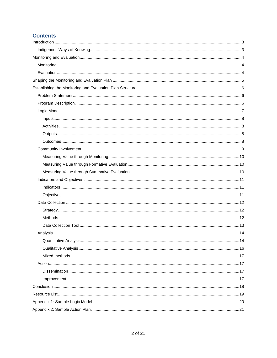## **Contents**

| Indicatesors |  |
|--------------|--|
|              |  |
|              |  |
|              |  |
|              |  |
|              |  |
|              |  |
|              |  |
|              |  |
|              |  |
|              |  |
|              |  |
|              |  |
|              |  |
|              |  |
|              |  |
|              |  |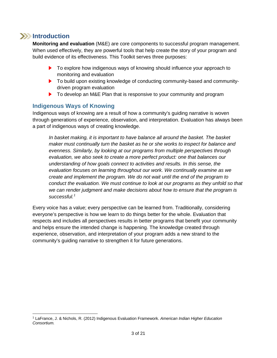## **Introduction**

<span id="page-2-0"></span>**Monitoring and evaluation** (M&E) are core components to successful program management. When used effectively, they are powerful tools that help create the story of your program and build evidence of its effectiveness. This Toolkit serves three purposes:

- ▶ To explore how indigenous ways of knowing should influence your approach to monitoring and evaluation
- ▶ To build upon existing knowledge of conducting community-based and communitydriven program evaluation
- ▶ To develop an M&E Plan that is responsive to your community and program

#### <span id="page-2-1"></span>**Indigenous Ways of Knowing**

Indigenous ways of knowing are a result of how a community's guiding narrative is woven through generations of experience, observation, and interpretation. Evaluation has always been a part of indigenous ways of creating knowledge.

*In basket making, it is important to have balance all around the basket. The basket maker must continually turn the basket as he or she works to inspect for balance and evenness. Similarly, by looking at our programs from multiple perspectives through evaluation, we also seek to create a more perfect product: one that balances our understanding of how goals connect to activities and results. In this sense, the evaluation focuses on learning throughout our work. We continually examine as we create and implement the program. We do not wait until the end of the program to conduct the evaluation. We must continue to look at our programs as they unfold so that we can render judgment and make decisions about how to ensure that the program is successful.[1](#page-2-2)*

Every voice has a value; every perspective can be learned from. Traditionally, considering everyone's perspective is how we learn to do things better for the whole. Evaluation that respects and includes all perspectives results in better programs that benefit your community and helps ensure the intended change is happening. The knowledge created through experience, observation, and interpretation of your program adds a new strand to the community's guiding narrative to strengthen it for future generations.

<span id="page-2-2"></span> <sup>1</sup> LaFrance, J. & Nichols, R. (2012) Indigenous Evaluation Framework. *American Indian Higher Education Consortium.*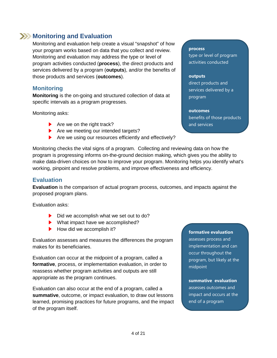## <span id="page-3-0"></span>**EXAMONITY MONITORY AND EVALUATION**

Monitoring and evaluation help create a visual "snapshot" of how your program works based on data that you collect and review. Monitoring and evaluation may address the type or level of program activities conducted (**process**), the direct products and services delivered by a program (**outputs**), and/or the benefits of those products and services (**outcomes**).

### <span id="page-3-1"></span>**Monitoring**

**Monitoring** is the on-going and structured collection of data at specific intervals as a program progresses.

Monitoring asks:

- $\blacktriangleright$  Are we on the right track?
- Are we meeting our intended targets?
- Are we using our resources efficiently and effectively?

#### **process**

type or level of program activities conducted

#### **outputs**

direct products and services delivered by a program

#### **outcomes**

benefits of those products and services

Monitoring checks the vital signs of a program. Collecting and reviewing data on how the program is progressing informs on-the-ground decision making, which gives you the ability to make data-driven choices on how to improve your program. Monitoring helps you identify what's working, pinpoint and resolve problems, and improve effectiveness and efficiency.

## <span id="page-3-2"></span>**Evaluation**

**Evaluation** is the comparison of actual program process, outcomes, and impacts against the proposed program plans.

Evaluation asks:

- $\triangleright$  Did we accomplish what we set out to do?
- ▶ What impact have we accomplished?
- $\blacktriangleright$  How did we accomplish it?

Evaluation assesses and measures the differences the program makes for its beneficiaries.

Evaluation can occur at the midpoint of a program, called a **formative**, process, or implementation evaluation, in order to reassess whether program activities and outputs are still appropriate as the program continues.

Evaluation can also occur at the end of a program, called a **summative**, outcome, or impact evaluation, to draw out lessons learned, promising practices for future programs, and the impact of the program itself.

#### **formative evaluation**

assesses process and implementation and can occur throughout the program, but likely at the midpoint

#### **summative evaluation**

assesses outcomes and impact and occurs at the end of a program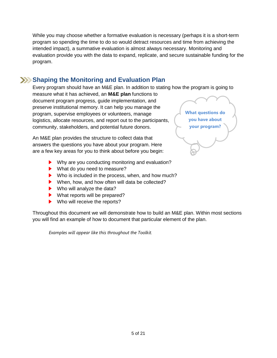While you may choose whether a formative evaluation is necessary (perhaps it is a short-term program so spending the time to do so would detract resources and time from achieving the intended impact), a summative evaluation is almost always necessary. Monitoring and evaluation provide you with the data to expand, replicate, and secure sustainable funding for the program.

## <span id="page-4-0"></span>**Shaping the Monitoring and Evaluation Plan**

Every program should have an M&E plan. In addition to stating how the program is going to measure what it has achieved, an **M&E plan** functions to document program progress, guide implementation, and preserve institutional memory. It can help you manage the program, supervise employees or volunteers, manage logistics, allocate resources, and report out to the participants, community, stakeholders, and potential future donors. **What questions do you have about your program?**

An M&E plan provides the structure to collect data that answers the questions you have about your program. Here are a few key areas for you to think about before you begin:

- ▶ Why are you conducting monitoring and evaluation?
- ▶ What do you need to measure?
- Who is included in the process, when, and how much?
- ▶ When, how, and how often will data be collected?
- ▶ Who will analyze the data?
- ▶ What reports will be prepared?
- ▶ Who will receive the reports?

Throughout this document we will demonstrate how to build an M&E plan. Within most sections you will find an example of how to document that particular element of the plan.

*Examples will appear like this throughout the Toolkit.*

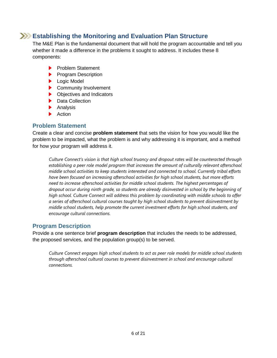## **Establishing the Monitoring and Evaluation Plan Structure**

<span id="page-5-0"></span>The M&E Plan is the fundamental document that will hold the program accountable and tell you whether it made a difference in the problems it sought to address. It includes these 8 components:

- **Problem Statement**
- **Program Description**
- **Logic Model**
- **Community Involvement**
- ▶ Objectives and Indicators
- ▶ Data Collection
- **Analysis**
- **Action**

#### <span id="page-5-1"></span>**Problem Statement**

Create a clear and concise **problem statement** that sets the vision for how you would like the problem to be impacted, what the problem is and why addressing it is important, and a method for how your program will address it.

*Culture Connect's vision is that high school truancy and dropout rates will be counteracted through establishing a peer role model program that increases the amount of culturally relevant afterschool middle school activities to keep students interested and connected to school. Currently tribal efforts have been focused on increasing afterschool activities for high school students, but more efforts need to increase afterschool activities for middle school students. The highest percentages of dropout occur during ninth grade, so students are already disinvested in school by the beginning of high school. Culture Connect will address this problem by coordinating with middle schools to offer a series of afterschool cultural courses taught by high school students to prevent disinvestment by middle school students, help promote the current investment efforts for high school students, and encourage cultural connections.*

### <span id="page-5-2"></span>**Program Description**

Provide a one sentence brief **program description** that includes the needs to be addressed, the proposed services, and the population group(s) to be served.

*Culture Connect engages high school students to act as peer role models for middle school students through afterschool cultural courses to prevent disinvestment in school and encourage cultural connections.*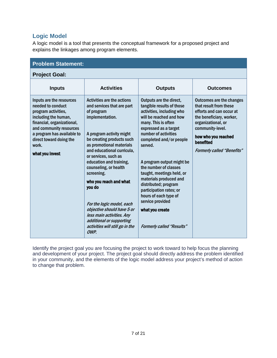## <span id="page-6-0"></span>**Logic Model**

A logic model is a tool that presents the conceptual framework for a proposed project and explains the linkages among program elements.

| <b>Problem Statement:</b>                                                                                                                                                                                                                  |                                                                                                                                                                                                                                                                                                                                                                                                                                                                                                                  |                                                                                                                                                                                                                                                                                                                                                                                                                                                                                                |                                                                                                                                                                                                                                      |  |  |
|--------------------------------------------------------------------------------------------------------------------------------------------------------------------------------------------------------------------------------------------|------------------------------------------------------------------------------------------------------------------------------------------------------------------------------------------------------------------------------------------------------------------------------------------------------------------------------------------------------------------------------------------------------------------------------------------------------------------------------------------------------------------|------------------------------------------------------------------------------------------------------------------------------------------------------------------------------------------------------------------------------------------------------------------------------------------------------------------------------------------------------------------------------------------------------------------------------------------------------------------------------------------------|--------------------------------------------------------------------------------------------------------------------------------------------------------------------------------------------------------------------------------------|--|--|
| <b>Project Goal:</b>                                                                                                                                                                                                                       |                                                                                                                                                                                                                                                                                                                                                                                                                                                                                                                  |                                                                                                                                                                                                                                                                                                                                                                                                                                                                                                |                                                                                                                                                                                                                                      |  |  |
| <b>Inputs</b>                                                                                                                                                                                                                              | <b>Activities</b>                                                                                                                                                                                                                                                                                                                                                                                                                                                                                                | <b>Outputs</b>                                                                                                                                                                                                                                                                                                                                                                                                                                                                                 | <b>Outcomes</b>                                                                                                                                                                                                                      |  |  |
| Inputs are the resources<br>needed to conduct<br>program activities,<br>including the human,<br>financial, organizational,<br>and community resources<br>a program has available to<br>direct toward doing the<br>work.<br>what you invest | <b>Activities are the actions</b><br>and services that are part<br>of program<br>implementation.<br>A program activity might<br>be creating products such<br>as promotional materials<br>and educational curricula,<br>or services, such as<br>education and training,<br>counseling, or health<br>screening.<br>who you reach and what<br>you do<br>For the logic model, each<br>objective should have 5 or<br>less main activities. Any<br>additional or supporting<br>activities will still go in the<br>OWP. | Outputs are the direct,<br>tangible results of those<br>activities, including who<br>will be reached and how<br>many. This is often<br>expressed as a target<br>number of activities<br>completed and/or people<br>served.<br>A program output might be<br>the number of classes<br>taught, meetings held, or<br>materials produced and<br>distributed; program<br>participation rates; or<br>hours of each type of<br>service provided<br>what you create<br><b>Formerly called "Results"</b> | <b>Outcomes are the changes</b><br>that result from these<br>efforts and can occur at<br>the beneficiary, worker,<br>organizational, or<br>community-level.<br>how who you reached<br>benefited<br><b>Formerly called "Benefits"</b> |  |  |

Identify the project goal you are focusing the project to work toward to help focus the planning and development of your project. The project goal should directly address the problem identified in your community, and the elements of the logic model address your project's method of action to change that problem.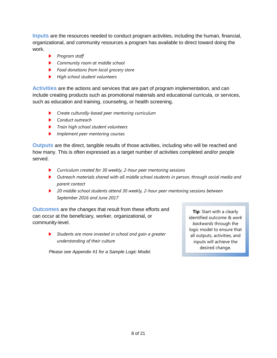<span id="page-7-0"></span>**Inputs** are the resources needed to conduct program activities, including the human, financial, organizational, and community resources a program has available to direct toward doing the work.

- *Program staff*
- *Community room at middle school*
- *Food donations from local grocery store*
- *High school student volunteers*

<span id="page-7-1"></span>**Activities** are the actions and services that are part of program implementation, and can include creating products such as promotional materials and educational curricula, or services, such as education and training, counseling, or health screening.

- *Create culturally-based peer mentoring curriculum*
- *Conduct outreach*
- *Train high school student volunteers*
- *Implement peer mentoring courses*

<span id="page-7-2"></span>**Outputs** are the direct, tangible results of those activities, including who will be reached and how many. This is often expressed as a target number of activities completed and/or people served.

- *Curriculum created for 30 weekly, 2-hour peer mentoring sessions*
- *Outreach materials shared with all middle school students in person, through social media and parent contact*
- *20 middle school students attend 30 weekly, 2-hour peer mentoring sessions between September 2016 and June 2017*

<span id="page-7-3"></span>**Outcomes** are the changes that result from these efforts and can occur at the beneficiary, worker, organizational, or community-level.

> *Students are more invested in school and gain a greater understanding of their culture*

*Please see Appendix #1 for a Sample Logic Model.* 

**Tip**: Start with a clearly identified outcome & *work backwards* through the logic model to ensure that all outputs, activities, and inputs will achieve the desired change.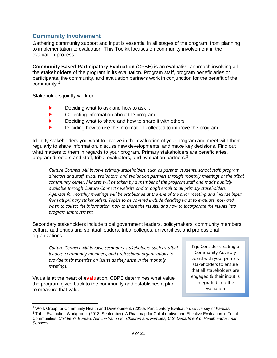## <span id="page-8-0"></span>**Community Involvement**

Gathering community support and input is essential in all stages of the program, from planning to implementation to evaluation. This Toolkit focuses on community involvement in the evaluation process.

**Community Based Participatory Evaluation** (CPBE) is an evaluative approach involving all the **stakeholders** of the program in its evaluation. Program staff, program beneficiaries or participants, the community, and evaluation partners work in conjunction for the benefit of the community.[2](#page-8-1)

Stakeholders jointly work on:

- ▶ Deciding what to ask and how to ask it
- ь Collecting information about the program
- Deciding what to share and how to share it with others ▶
- ь Deciding how to use the information collected to improve the program

Identify stakeholders you want to involve in the evaluation of your program and meet with them regularly to share information, discuss new developments, and make key decisions. Find out what matters to them in regards to your program. Primary stakeholders are beneficiaries, program directors and staff, tribal evaluators, and evaluation partners.[3](#page-8-2)

*Culture Connect will involve primary stakeholders, such as parents, students, school staff, program directors and staff, tribal evaluators, and evaluation partners through monthly meetings at the tribal community center. Minutes will be taken by a member of the program staff and made publicly available through Culture Connect's website and through email to all primary stakeholders. Agendas for monthly meetings will be established at the end of the prior meeting and include input from all primary stakeholders. Topics to be covered include deciding what to evaluate, how and when to collect the information, how to share the results, and how to incorporate the results into program improvement.*

Secondary stakeholders include tribal government leaders, policymakers, community members, cultural authorities and spiritual leaders, tribal colleges, universities, and professional organizations.

*Culture Connect will involve secondary stakeholders, such as tribal leaders, community members, and professional organizations to provide their expertise on issues as they arise in the monthly meetings.*

Value is at the heart of e**valu**ation. CBPE determines what value the program gives back to the community and establishes a plan to measure that value.

**Tip**: Consider creating a Community Advisory Board with your primary stakeholders to ensure that all stakeholders are engaged & their input is integrated into the evaluation.

<span id="page-8-2"></span><span id="page-8-1"></span> <sup>2</sup> Work Group for Community Health and Development. (2016). Participatory Evaluation. *University of Kansas.* <sup>3</sup> Tribal Evaluation Workgroup. (2013, September). A Roadmap for Collaborative and Effective Evaluation in Tribal Communities. *Children's Bureau, Administration for Children and Families, U.S. Department of Health and Human Services.*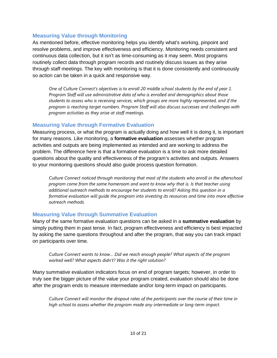#### <span id="page-9-0"></span>**Measuring Value through Monitoring**

As mentioned before, effective monitoring helps you identify what's working, pinpoint and resolve problems, and improve effectiveness and efficiency. Monitoring needs consistent and continuous data collection, but it isn't as time-consuming as it may seem. Most programs routinely collect data through program records and routinely discuss issues as they arise through staff meetings. The key with monitoring is that it is done consistently and continuously so action can be taken in a quick and responsive way.

*One of Culture Connect's objectives is to enroll 20 middle school students by the end of year 1. Program Staff will use administrative data of who is enrolled and demographics about those students to assess who is receiving services, which groups are more highly represented, and if the program is reaching target numbers. Program Staff will also discuss successes and challenges with program activities as they arise at staff meetings.* 

#### <span id="page-9-1"></span>**Measuring Value through Formative Evaluation**

Measuring process, or what the program is actually doing and how well it is doing it, is important for many reasons. Like monitoring, a **formative evaluation** assesses whether program activities and outputs are being implemented as intended and are working to address the problem. The difference here is that a formative evaluation is a time to ask more detailed questions about the quality and effectiveness of the program's activities and outputs. Answers to your monitoring questions should also guide process question formation.

*Culture Connect noticed through monitoring that most of the students who enroll in the afterschool program come from the same homeroom and want to know why that is. Is that teacher using additional outreach methods to encourage her students to enroll? Asking this question in a formative evaluation will guide the program into investing its resources and time into more effective outreach methods.*

#### <span id="page-9-2"></span>**Measuring Value through Summative Evaluation**

Many of the same formative evaluation questions can be asked in a **summative evaluation** by simply putting them in past tense. In fact, program effectiveness and efficiency is best impacted by asking the same questions throughout and after the program, that way you can track impact on participants over time.

*Culture Connect wants to know… Did we reach enough people? What aspects of the program worked well? What aspects didn't? Was it the right solution?* 

Many summative evaluation indicators focus on end of program targets; however, in order to truly see the bigger picture of the value your program created, evaluation should also be done after the program ends to measure intermediate and/or long-term impact on participants.

*Culture Connect will monitor the dropout rates of the participants over the course of their time in high school to assess whether the program made any intermediate or long-term impact.*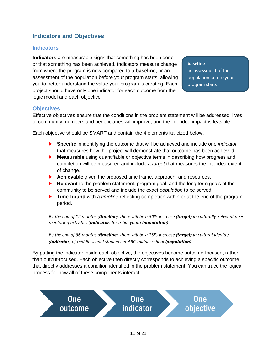## <span id="page-10-0"></span>**Indicators and Objectives**

#### <span id="page-10-1"></span>**Indicators**

**Indicators** are measurable signs that something has been done or that something has been achieved. Indicators measure change from where the program is now compared to a **baseline**, or an assessment of the population before your program starts, allowing you to better understand the value your program is creating. Each project should have only one indicator for each outcome from the logic model and each objective.

#### **baseline**

an assessment of the population before your program starts

#### <span id="page-10-2"></span>**Objectives**

Effective objectives ensure that the conditions in the problem statement will be addressed, lives of community members and beneficiaries will improve, and the intended impact is feasible.

Each objective should be SMART and contain the 4 elements italicized below.

- **Specific** in identifying the outcome that will be achieved and include one *indicator* that measures how the project will demonstrate that outcome has been achieved.
- **Measurable** using quantifiable or objective terms in describing how progress and completion will be measured and include a *target* that measures the intended extent of change.
- **Achievable** given the proposed time frame, approach, and resources.
- **Relevant** to the problem statement, program goal, and the long term goals of the community to be served and include the exact *population* to be served.
- **Time-bound** with a *timeline* reflecting completion within or at the end of the program period.

*By the end of 12 months (timeline), there will be a 50% increase (target) in culturally-relevant peer mentoring activities (indicator) for tribal youth (population).*

*By the end of 36 months (timeline), there will be a 15% increase (target) in cultural identity (indicator) of middle school students at ABC middle school (population).*

By putting the indicator inside each objective, the objectives become outcome-focused, rather than output-focused. Each objective then directly corresponds to achieving a specific outcome that directly addresses a condition identified in the problem statement. You can trace the logical process for how all of these components interact.

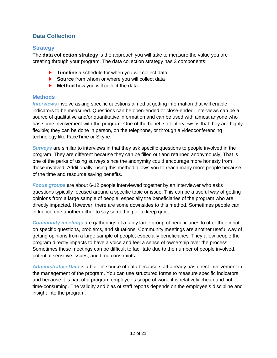## <span id="page-11-0"></span>**Data Collection**

#### <span id="page-11-1"></span>**Strategy**

The **data collection strategy** is the approach you will take to measure the value you are creating through your program. The data collection strategy has 3 components:

- **Timeline** a schedule for when you will collect data
- **Source** from whom or where you will collect data
- **Method** how you will collect the data

#### <span id="page-11-2"></span>**Methods**

*Interviews* involve asking specific questions aimed at getting information that will enable indicators to be measured. Questions can be open-ended or close-ended. Interviews can be a source of qualitative and/or quantitative information and can be used with almost anyone who has some involvement with the program. One of the benefits of interviews is that they are highly flexible; they can be done in person, on the telephone, or through a videoconferencing technology like FaceTime or Skype.

*Surveys* are similar to interviews in that they ask specific questions to people involved in the program. They are different because they can be filled out and returned anonymously. That is one of the perks of using surveys since the anonymity could encourage more honesty from those involved. Additionally, using this method allows you to reach many more people because of the time and resource saving benefits.

*Focus groups* are about 6-12 people interviewed together by an interviewer who asks questions typically focused around a specific topic or issue. This can be a useful way of getting opinions from a large sample of people, especially the beneficiaries of the program who are directly impacted. However, there are some downsides to this method. Sometimes people can influence one another either to say something or to keep quiet.

*Community meetings* are gatherings of a fairly large group of beneficiaries to offer their input on specific questions, problems, and situations. Community meetings are another useful way of getting opinions from a large sample of people, especially beneficiaries. They allow people the program directly impacts to have a voice and feel a sense of ownership over the process. Sometimes these meetings can be difficult to facilitate due to the number of people involved, potential sensitive issues, and time constraints.

*Administrative Data* is a built-in source of data because staff already has direct involvement in the management of the program. You can use structured forms to measure specific indicators, and because it is part of a program employee's scope of work, it is relatively cheap and not time-consuming. The validity and bias of staff reports depends on the employee's discipline and insight into the program.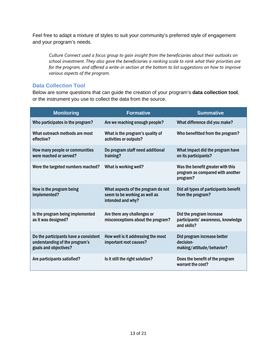Feel free to adapt a mixture of styles to suit your community's preferred style of engagement and your program's needs.

*Culture Connect used a focus group to gain insight from the beneficiaries about their outlooks on school investment. They also gave the beneficiaries a ranking scale to rank what their priorities are for the program, and offered a write-in section at the bottom to list suggestions on how to improve various aspects of the program.*

#### <span id="page-12-0"></span>**Data Collection Tool**

Below are some questions that can guide the creation of your program's **data collection tool**, or the instrument you use to collect the data from the source.

| <b>Monitoring</b>                                                                                | <b>Formative</b>                                                                         | <b>Summative</b>                                                                  |
|--------------------------------------------------------------------------------------------------|------------------------------------------------------------------------------------------|-----------------------------------------------------------------------------------|
| Who participates in the program?                                                                 | Are we reaching enough people?                                                           | What difference did you make?                                                     |
| What outreach methods are most<br>effective?                                                     | What is the program's quality of<br>activities or outputs?                               | Who benefitted from the program?                                                  |
| How many people or communities<br>were reached or served?                                        | Do program staff need additional<br>training?                                            | What impact did the program have<br>on its participants?                          |
| Were the targeted numbers reached?                                                               | What is working well?                                                                    | Was the benefit greater with this<br>program as compared with another<br>program? |
| How is the program being<br>implemented?                                                         | What aspects of the program do not<br>seem to be working as well as<br>intended and why? | Did all types of participants benefit<br>from the program?                        |
| Is the program being implemented<br>as it was designed?                                          | Are there any challenges or<br>misconceptions about the program?                         | Did the program increase<br>participants' awareness, knowledge<br>and skills?     |
| Do the participants have a consistent<br>understanding of the program's<br>goals and objectives? | How well is it addressing the most<br>important root causes?                             | Did program increase better<br>decision-<br>making/attitude/behavior?             |
| Are participants satisfied?                                                                      | Is it still the right solution?                                                          | Does the benefit of the program<br>warrant the cost?                              |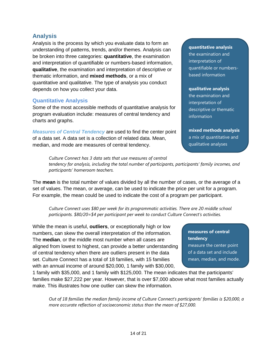### <span id="page-13-0"></span>**Analysis**

Analysis is the process by which you evaluate data to form an understanding of patterns, trends, and/or themes. Analysis can be broken into three categories: **quantitative**, the examination and interpretation of quantifiable or numbers-based information, **qualitative**, the examination and interpretation of descriptive or thematic information, and **mixed methods**, or a mix of quantitative and qualitative. The type of analysis you conduct depends on how you collect your data.

#### <span id="page-13-1"></span>**Quantitative Analysis**

Some of the most accessible methods of quantitative analysis for program evaluation include: measures of central tendency and charts and graphs.

*Measures of Central Tendency* are used to find the center point of a data set. A data set is a collection of related data. Mean, median, and mode are measures of central tendency.

#### **quantitative analysis**

the examination and interpretation of quantifiable or numbersbased information

#### **qualitative analysis**

the examination and interpretation of descriptive or thematic information

**mixed methods analysis** a mix of quantitative and qualitative analyses

*Culture Connect has 3 data sets that use measures of central tendency for analysis, including the total number of participants, participants' family incomes, and participants' homeroom teachers.*

The **mean** is the total number of values divided by all the number of cases, or the average of a set of values. The mean, or average, can be used to indicate the price per unit for a program. For example, the mean could be used to indicate the cost of a program per participant.

*Culture Connect uses \$80 per week for its programmatic activities. There are 20 middle school participants. \$80/20=\$4 per participant per week to conduct Culture Connect's activities.*

While the mean is useful, **outliers**, or exceptionally high or low numbers, can skew the overall interpretation of the information. The **median**, or the middle most number when all cases are aligned from lowest to highest, can provide a better understanding of central tendency when there are outliers present in the data set. Culture Connect has a total of 18 families, with 15 families with an annual income of around \$20,000, 1 family with \$30,000,

1 family with \$35,000, and 1 family with \$125,000. The mean indicates that the participants' families make \$27,222 per year. However, that is over \$7,000 above what most families actually make. This illustrates how one outlier can skew the information.

*Out of 18 families the median family income of Culture Connect's participants' families is \$20,000, a more accurate reflection of socioeconomic status than the mean of \$27,000.*

#### **measures of central tendency**

measure the center point of a data set and include mean, median, and mode.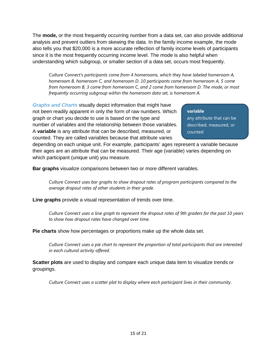The **mode,** or the most frequently occurring number from a data set, can also provide additional analysis and prevent outliers from skewing the data. In the family income example, the mode also tells you that \$20,000 is a more accurate reflection of family income levels of participants since it is the most frequently occurring income level. The mode is also helpful when understanding which subgroup, or smaller section of a data set, occurs most frequently.

*Culture Connect's participants come from 4 homerooms, which they have labeled homeroom A, homeroom B, homeroom C, and homeroom D. 10 participants come from homeroom A, 5 come from homeroom B, 3 come from homeroom C, and 2 come from homeroom D. The mode, or most frequently occurring subgroup within the homeroom data set, is homeroom A.*

*Graphs and Charts* visually depict information that might have not been readily apparent in only the form of raw numbers. Which graph or chart you decide to use is based on the type and number of variables and the relationship between those variables. A **variable** is any attribute that can be described, measured, or counted. They are called variables because that attribute varies

**variable** any attribute that can be described, measured, or counted

depending on each unique unit. For example, participants' ages represent a variable because their ages are an attribute that can be measured. Their age (variable) varies depending on which participant (unique unit) you measure.

**Bar graphs** visualize comparisons between two or more different variables.

*Culture Connect uses bar graphs to show dropout rates of program participants compared to the average dropout rates of other students in their grade.*

**Line graphs** provide a visual representation of trends over time.

*Culture Connect uses a line graph to represent the dropout rates of 9th graders for the past 10 years to show how dropout rates have changed over time.*

**Pie charts** show how percentages or proportions make up the whole data set.

*Culture Connect uses a pie chart to represent the proportion of total participants that are interested in each cultural activity offered.*

**Scatter plots** are used to display and compare each unique data item to visualize trends or groupings.

*Culture Connect uses a scatter plot to display where each participant lives in their community.*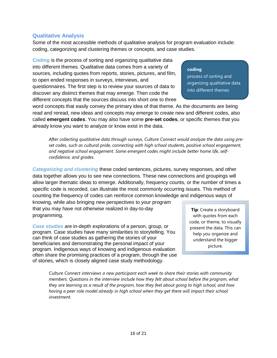## <span id="page-15-0"></span>**Qualitative Analysis**

Some of the most accessible methods of qualitative analysis for program evaluation include: coding, categorizing and clustering themes or concepts, and case studies.

**Coding** is the process of sorting and organizing qualitative data into different themes. Qualitative data comes from a variety of sources, including quotes from reports, stories, pictures, and film, to open ended responses in surveys, interviews, and questionnaires. The first step is to review your sources of data to discover any distinct themes that may emerge. Then code the different concepts that the sources discuss into short one to three

#### **coding**

process of sorting and organizing qualitative data into different themes

word concepts that easily convey the primary idea of that theme. As the documents are being read and reread, new ideas and concepts may emerge to create new and different codes, also called **emergent codes**. You may also have some **pre-set codes**, or specific themes that you already know you want to analyze or know exist in the data.

*After collecting qualitative data through surveys, Culture Connect would analyze the data using preset codes, such as cultural pride, connecting with high school students, positive school engagement, and negative school engagement. Some emergent codes might include better home life, selfconfidence, and grades.*

*Categorizing and clustering* these coded sentences, pictures, survey responses, and other data together allows you to see new connections. These new connections and groupings will allow larger thematic ideas to emerge. Additionally, frequency counts, or the number of times a specific code is recorded, can illustrate the most commonly occurring issues. This method of counting the frequency of codes can reinforce common knowledge and indigenous ways of

knowing, while also bringing new perspectives to your program that you may have not otherwise realized in day-to-day programming.

*Case studies* are in-depth explorations of a person, group, or program. Case studies have many similarities to storytelling. You can think of case studies as gathering the stories of your beneficiaries and demonstrating the personal impact of your program. Indigenous ways of knowing and indigenous evaluation often share the promising practices of a program, through the use of stories, which is closely aligned case study methodology.

**Tip**: Create a storyboard with quotes from each code, or theme, to visually present the data. This can help you organize and understand the bigger picture.

*Culture Connect interviews a new participant each week to share their stories with community members. Questions in the interview include how they felt about school before the program, what they are learning as a result of the program, how they feel about going to high school, and how having a peer role model already in high school when they get there will impact their school investment.*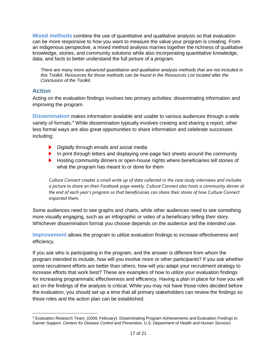<span id="page-16-0"></span>**Mixed methods** combine the use of quantitative and qualitative analysis so that evaluation can be more responsive to how you want to measure the value your program is creating. From an indigenous perspective, a mixed method analysis marries together the richness of qualitative knowledge, stories, and community solutions while also incorporating quantitative knowledge, data, and facts to better understand the full picture of a program.

*There are many more advanced quantitative and qualitative analysis methods that are not included in this Toolkit. Resources for those methods can be found in the Resources List located after the Conclusion of the Toolkit.*

#### <span id="page-16-1"></span>**Action**

Acting on the evaluation findings involves two primary activities: disseminating information and improving the program.

<span id="page-16-2"></span>**Dissemination** makes information available and usable to various audiences through a wide variety of formats. [4](#page-16-4) While dissemination typically involves creating and sharing a report, other less formal ways are also great opportunities to share information and celebrate successes including:

- Digitally through emails and social media
- In print through letters and displaying one-page fact sheets around the community
- **Hosting community dinners or open-house nights where beneficiaries tell stories of** what the program has meant to or done for them

*Culture Connect creates a small write up of data collected in the case study interviews and includes a picture to share on their Facebook page weekly. Culture Connect also hosts a community dinner at the end of each year's program so that beneficiaries can share their stores of how Culture Connect impacted them.*

Some audiences need to see graphs and charts, while other audiences need to see something more visually engaging, such as an infographic or video of a beneficiary telling their story. Whichever dissemination format you choose depends on the audience and the intended use.

<span id="page-16-3"></span>**Improvement** allows the program to utilize evaluation findings to increase effectiveness and efficiency.

If you ask who is participating in the program, and the answer is different from whom the program intended to include, how will you involve more or other participants? If you ask whether some recruitment efforts are better than others, how will you adapt your recruitment strategy to increase efforts that work best? These are examples of how to utilize your evaluation findings for increasing programmatic effectiveness and efficiency. Having a plan in place for how you will act on the findings of the analysis is critical. While you may not have those roles decided before the evaluation, you should set up a time that all primary stakeholders can review the findings so those roles and the action plan can be established.

<span id="page-16-4"></span> <sup>4</sup> Evaluation Research Team. (2009, February). Disseminating Program Achievements and Evaluation Findings to Garner Support. *Centers for Disease Control and Prevention, U.S. Department of Health and Human Services.*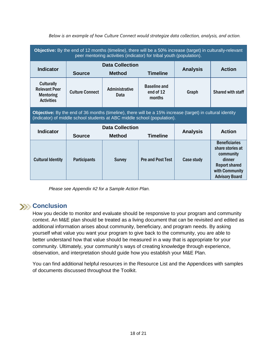| Objective: By the end of 12 months (timeline), there will be a 50% increase (target) in culturally-relevant<br>peer mentoring activities (indicator) for tribal youth (population).   |                                                                             |                        |                                            |                 |                                                                                                                                    |
|---------------------------------------------------------------------------------------------------------------------------------------------------------------------------------------|-----------------------------------------------------------------------------|------------------------|--------------------------------------------|-----------------|------------------------------------------------------------------------------------------------------------------------------------|
| <b>Indicator</b>                                                                                                                                                                      | <b>Data Collection</b><br><b>Timeline</b><br><b>Source</b><br><b>Method</b> |                        |                                            | <b>Analysis</b> | <b>Action</b>                                                                                                                      |
| <b>Culturally</b><br><b>Relevant Peer</b><br><b>Mentoring</b><br><b>Activities</b>                                                                                                    | <b>Culture Connect</b>                                                      | Administrative<br>Data | <b>Baseline and</b><br>end of 12<br>months | Graph           | Shared with staff                                                                                                                  |
| Objective: By the end of 36 months (timeline), there will be a 15% increase (target) in cultural identity<br>(indicator) of middle school students at ABC middle school (population). |                                                                             |                        |                                            |                 |                                                                                                                                    |
| <b>Indicator</b>                                                                                                                                                                      | <b>Data Collection</b>                                                      |                        |                                            | <b>Action</b>   |                                                                                                                                    |
|                                                                                                                                                                                       | <b>Source</b>                                                               | <b>Method</b>          | <b>Timeline</b>                            | <b>Analysis</b> |                                                                                                                                    |
| <b>Cultural Identity</b>                                                                                                                                                              | <b>Participants</b>                                                         | <b>Survey</b>          | <b>Pre and Post Test</b>                   | Case study      | <b>Beneficiaries</b><br>share stories at<br>community<br>dinner<br><b>Report shared</b><br>with Community<br><b>Advisory Board</b> |

*Below is an example of how Culture Connect would strategize data collection, analysis, and action.*

*Please see Appendix #2 for a Sample Action Plan.*

## <span id="page-17-0"></span>**XX** Conclusion

How you decide to monitor and evaluate should be responsive to your program and community context. An M&E plan should be treated as a living document that can be revisited and edited as additional information arises about community, beneficiary, and program needs. By asking yourself what value you want your program to give back to the community, you are able to better understand how that value should be measured in a way that is appropriate for your community. Ultimately, your community's ways of creating knowledge through experience, observation, and interpretation should guide how you establish your M&E Plan.

You can find additional helpful resources in the Resource List and the Appendices with samples of documents discussed throughout the Toolkit.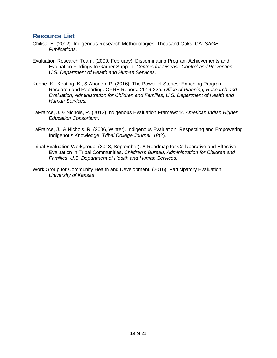## <span id="page-18-0"></span>**Resource List**

- Chilisa, B. (2012). Indigenous Research Methodologies. Thousand Oaks, CA: *SAGE Publications*.
- Evaluation Research Team. (2009, February). Disseminating Program Achievements and Evaluation Findings to Garner Support. *Centers for Disease Control and Prevention, U.S. Department of Health and Human Services*.
- Keene, K., Keating, K., & Ahonen, P. (2016). The Power of Stories: Enriching Program Research and Reporting. OPRE Report# 2016-32a. *Office of Planning, Research and Evaluation, Administration for Children and Families, U.S. Department of Health and Human Services.*
- LaFrance, J. & Nichols, R. (2012) Indigenous Evaluation Framework. *American Indian Higher Education Consortium*.
- LaFrance, J., & Nichols, R. (2006, Winter). Indigenous Evaluation: Respecting and Empowering Indigenous Knowledge. *Tribal College Journal*, *18*(2).
- Tribal Evaluation Workgroup. (2013, September). A Roadmap for Collaborative and Effective Evaluation in Tribal Communities. *Children's Bureau, Administration for Children and Families, U.S. Department of Health and Human Services*.
- Work Group for Community Health and Development. (2016). Participatory Evaluation. *University of Kansas*.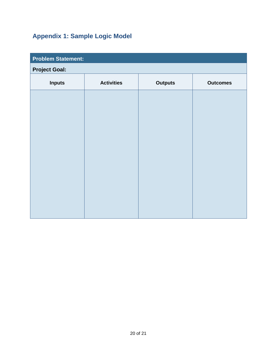# **Appendix 1: Sample Logic Model**

<span id="page-19-0"></span>

| <b>Problem Statement:</b> |                |                 |  |  |  |
|---------------------------|----------------|-----------------|--|--|--|
| <b>Project Goal:</b>      |                |                 |  |  |  |
| <b>Activities</b>         | <b>Outputs</b> | <b>Outcomes</b> |  |  |  |
|                           |                |                 |  |  |  |
|                           |                |                 |  |  |  |
|                           |                |                 |  |  |  |
|                           |                |                 |  |  |  |
|                           |                |                 |  |  |  |
|                           |                |                 |  |  |  |
|                           |                |                 |  |  |  |
|                           |                |                 |  |  |  |
|                           |                |                 |  |  |  |
|                           |                |                 |  |  |  |
|                           |                |                 |  |  |  |